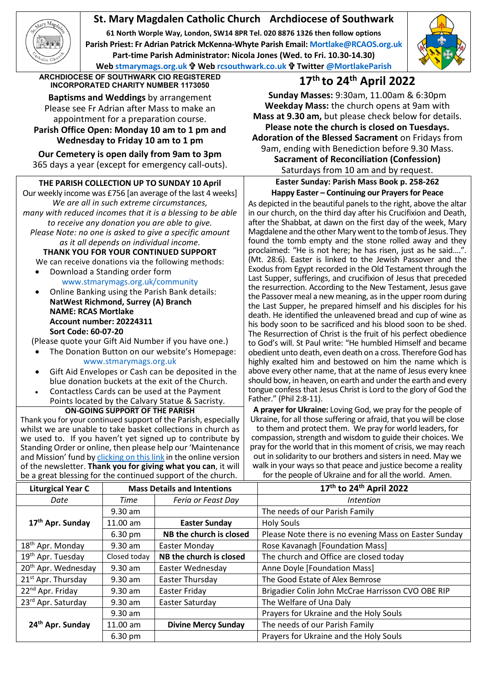# **St. Mary Magdalen Catholic Church Archdiocese of Southwark**

**61 North Worple Way, London, SW14 8PR Tel. 020 8876 1326 then follow options Parish Priest: Fr Adrian Patrick McKenna-Whyte Parish Email[: Mortlake@RCAOS.org.uk](mailto:Mortlake@RCAOS.org.uk) Part-time Parish Administrator: Nicola Jones (Wed. to Fri. 10.30-14.30) Web [stmarymags.org.uk](http://www.stmarymags.org.uk/) Web [rcsouthwark.co.uk](http://www.rcsouthwark.co.uk/) Twitter [@MortlakeParish](https://twitter.com/@mortlakeparish)**



**ARCHDIOCESE OF SOUTHWARK CIO REGISTERED INCORPORATED CHARITY NUMBER 1173050 17th to 24th April 2022**

**Baptisms and Weddings** by arrangement Please see Fr Adrian after Mass to make an appointment for a preparation course. **Parish Office Open: Monday 10 am to 1 pm and**

**Wednesday to Friday 10 am to 1 pm**

**Our Cemetery is open daily from 9am to 3pm** 365 days a year (except for emergency call-outs).

# **THE PARISH COLLECTION UP TO SUNDAY 10 April**

Our weekly income was £756 [an average of the last 4 weeks] *We are all in such extreme circumstances, many with reduced incomes that it is a blessing to be able to receive any donation you are able to give. Please Note: no one is asked to give a specific amount as it all depends on individual income.*

**THANK YOU FOR YOUR CONTINUED SUPPORT** We can receive donations via the following methods:

- Download a Standing order form [www.stmarymags.org.uk/community](http://www.stmarymags.org.uk/community)
- Online Banking using the Parish Bank details: **NatWest Richmond, Surrey (A) Branch NAME: RCAS Mortlake Account number: 20224311 Sort Code: 60-07-20**
- (Please quote your Gift Aid Number if you have one.)
- The Donation Button on our website's Homepage: [www.stmarymags.org.uk](http://www.stmarymags.org.uk/)
- Gift Aid Envelopes or Cash can be deposited in the blue donation buckets at the exit of the Church.
- Contactless Cards can be used at the Payment Points located by the Calvary Statue & Sacristy.
	- **ON-GOING SUPPORT OF THE PARISH**

Thank you for your continued support of the Parish, especially whilst we are unable to take basket collections in church as we used to. If you haven't yet signed up to contribute by Standing Order or online, then please help our 'Maintenance and Mission' fund b[y clicking on this link](https://givealittle.co/campaigns/0d894f95-a502-418f-a98b-07a2dc349c74) in the online version of the newsletter. **Thank you for giving what you can**, it will be a great blessing for the continued support of the church.

**Sunday Masses:** 9:30am, 11.00am & 6:30pm **Weekday Mass:** the church opens at 9am with **Mass at 9.30 am,** but please check below for details. **Please note the church is closed on Tuesdays. Adoration of the Blessed Sacrament** on Fridays from 9am, ending with Benediction before 9.30 Mass. **Sacrament of Reconciliation (Confession)**

Saturdays from 10 am and by request.

**Easter Sunday: Parish Mass Book p. 258-262 Happy Easter – Continuing our Prayers for Peace** 

As depicted in the beautiful panels to the right, above the altar in our church, on the third day after his Crucifixion and Death, after the Shabbat, at dawn on the first day of the week, Mary Magdalene and the other Mary went to the tomb of Jesus. They found the tomb empty and the stone rolled away and they proclaimed: "He is not here; he has risen, just as he said.... (Mt. 28:6). Easter is linked to the Jewish Passover and the Exodus from Egypt recorded in the Old Testament through the Last Supper, sufferings, and crucifixion of Jesus that preceded the resurrection. According to the New Testament, Jesus gave the Passover meal a new meaning, as in the upper room during the Last Supper, he prepared himself and his disciples for his death. He identified the unleavened bread and cup of wine as his body soon to be sacrificed and his blood soon to be shed. The Resurrection of Christ is the fruit of his perfect obedience to God's will. St Paul write: "He humbled Himself and became obedient unto death, even death on a cross. Therefore God has highly exalted him and bestowed on him the name which is above every other name, that at the name of Jesus every knee should bow, in heaven, on earth and under the earth and every tongue confess that Jesus Christ is Lord to the glory of God the Father." (Phil 2:8-11).

**A prayer for Ukraine:** Loving God, we pray for the people of Ukraine, for all those suffering or afraid, that you will be close to them and protect them. We pray for world leaders, for compassion, strength and wisdom to guide their choices. We pray for the world that in this moment of crisis, we may reach out in solidarity to our brothers and sisters in need. May we walk in your ways so that peace and justice become a reality for the people of Ukraine and for all the world. Amen.

| <b>Liturgical Year C</b>        | <b>Mass Details and Intentions</b> |                            | 17th to 24th April 2022                               |
|---------------------------------|------------------------------------|----------------------------|-------------------------------------------------------|
| Date                            | Time                               | Feria or Feast Day         | <i>Intention</i>                                      |
| 17 <sup>th</sup> Apr. Sunday    | $9.30$ am                          |                            | The needs of our Parish Family                        |
|                                 | 11.00 am                           | <b>Easter Sunday</b>       | <b>Holy Souls</b>                                     |
|                                 | 6.30 pm                            | NB the church is closed    | Please Note there is no evening Mass on Easter Sunday |
| 18 <sup>th</sup> Apr. Monday    | $9.30$ am                          | Easter Monday              | Rose Kavanagh [Foundation Mass]                       |
| 19 <sup>th</sup> Apr. Tuesday   | Closed today                       | NB the church is closed    | The church and Office are closed today                |
| 20 <sup>th</sup> Apr. Wednesday | $9.30$ am                          | Easter Wednesday           | Anne Doyle [Foundation Mass]                          |
| 21 <sup>st</sup> Apr. Thursday  | 9.30 am                            | Easter Thursday            | The Good Estate of Alex Bemrose                       |
| 22 <sup>nd</sup> Apr. Friday    | $9.30$ am                          | Easter Friday              | Brigadier Colin John McCrae Harrisson CVO OBE RIP     |
| 23rd Apr. Saturday              | $9.30$ am                          | Easter Saturday            | The Welfare of Una Daly                               |
| 24 <sup>th</sup> Apr. Sunday    | $9.30$ am                          |                            | Prayers for Ukraine and the Holy Souls                |
|                                 | 11.00 am                           | <b>Divine Mercy Sunday</b> | The needs of our Parish Family                        |
|                                 | 6.30 pm                            |                            | Prayers for Ukraine and the Holy Souls                |